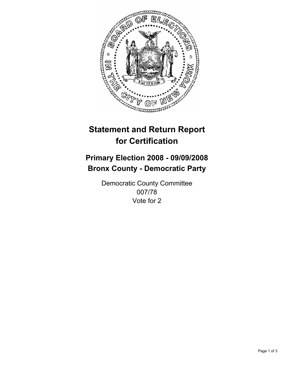

## **Primary Election 2008 - 09/09/2008 Bronx County - Democratic Party**

Democratic County Committee 007/78 Vote for 2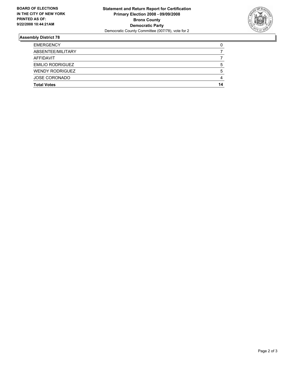

| <b>EMERGENCY</b>        |    |
|-------------------------|----|
| ABSENTEE/MILITARY       |    |
| AFFIDAVIT               |    |
| <b>EMILIO RODRIGUEZ</b> |    |
| <b>WENDY RODRIGUEZ</b>  |    |
| <b>JOSE CORONADO</b>    |    |
| <b>Total Votes</b>      | 14 |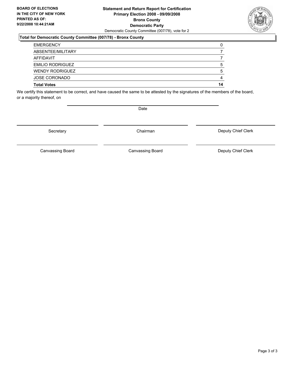### **Statement and Return Report for Certification Primary Election 2008 - 09/09/2008 Bronx County Democratic Party** Democratic County Committee (007/78), vote for 2

### **Total for Democratic County Committee (007/78) - Bronx County**

| <b>JOSE CORONADO</b><br><b>Total Votes</b> | 14 |
|--------------------------------------------|----|
|                                            |    |
| <b>WENDY RODRIGUEZ</b>                     | b  |
| <b>EMILIO RODRIGUEZ</b>                    | h  |
| AFFIDAVIT                                  |    |
| ABSENTEE/MILITARY                          |    |
| <b>EMERGENCY</b>                           |    |

We certify this statement to be correct, and have caused the same to be attested by the signatures of the members of the board, or a majority thereof, on

Date

Secretary **Chairman** 

Deputy Chief Clerk

Canvassing Board **Canvassing Board** Canvassing Board **Deputy Chief Clerk** 

Canvassing Board

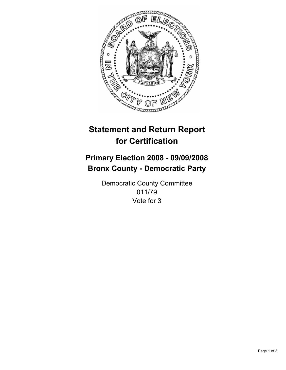

## **Primary Election 2008 - 09/09/2008 Bronx County - Democratic Party**

Democratic County Committee 011/79 Vote for 3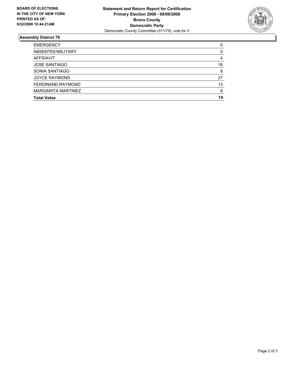

| <b>EMERGENCY</b>     |    |
|----------------------|----|
| ABSENTEE/MILITARY    |    |
| AFFIDAVIT            |    |
| <b>JOSE SANTIAGO</b> | 18 |
| SONIA SANTIAGO       | 8  |
| <b>JOYCE RAYMOND</b> | 27 |
| FERDINAND RAYMOND    | 13 |
| MARGARITA MARTINEZ   |    |
| <b>Total Votes</b>   | 74 |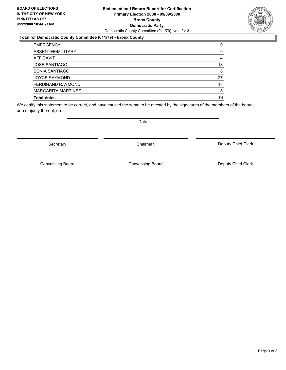### **Statement and Return Report for Certification Primary Election 2008 - 09/09/2008 Bronx County Democratic Party** Democratic County Committee (011/79), vote for 3

### **Total for Democratic County Committee (011/79) - Bronx County**

| <b>EMERGENCY</b>     |    |
|----------------------|----|
| ABSENTEE/MILITARY    |    |
| <b>AFFIDAVIT</b>     |    |
| <b>JOSE SANTIAGO</b> | 18 |
| SONIA SANTIAGO       |    |
| <b>JOYCE RAYMOND</b> | 27 |
| FERDINAND RAYMOND    | 13 |
| MARGARITA MARTINEZ   |    |
| <b>Total Votes</b>   | 74 |

We certify this statement to be correct, and have caused the same to be attested by the signatures of the members of the board, or a majority thereof, on

Secretary **Chairman** 

Canvassing Board **Canvassing Board** Canvassing Board **Deputy Chief Clerk** 

Deputy Chief Clerk

Page 3 of 3

Canvassing Board

Date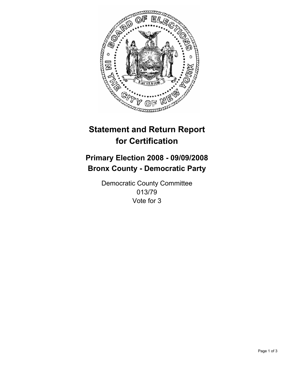

## **Primary Election 2008 - 09/09/2008 Bronx County - Democratic Party**

Democratic County Committee 013/79 Vote for 3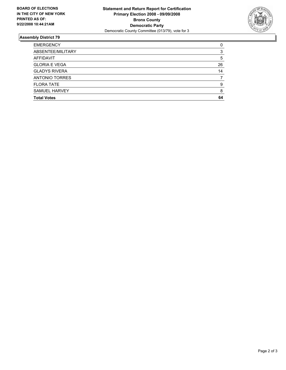

| <b>EMERGENCY</b>     |    |
|----------------------|----|
| ABSENTEE/MILITARY    |    |
| AFFIDAVIT            | 5  |
| <b>GLORIA E VEGA</b> | 26 |
| <b>GLADYS RIVERA</b> | 14 |
| ANTONIO TORRES       |    |
| <b>FLORA TATE</b>    | Q  |
| SAMUEL HARVEY        |    |
| <b>Total Votes</b>   | 64 |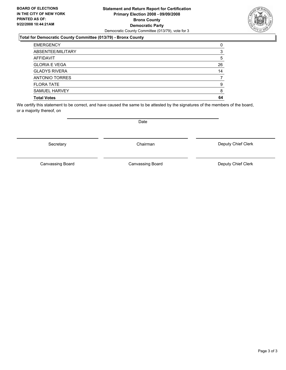### **Statement and Return Report for Certification Primary Election 2008 - 09/09/2008 Bronx County Democratic Party** Democratic County Committee (013/79), vote for 3

### **Total for Democratic County Committee (013/79) - Bronx County**

| <b>EMERGENCY</b>     |    |
|----------------------|----|
| ABSENTEE/MILITARY    |    |
| AFFIDAVIT            | b  |
| <b>GLORIA E VEGA</b> | 26 |
| <b>GLADYS RIVERA</b> | 14 |
| ANTONIO TORRES       |    |
| <b>FLORA TATE</b>    |    |
| SAMUEL HARVEY        |    |
| <b>Total Votes</b>   | 64 |

We certify this statement to be correct, and have caused the same to be attested by the signatures of the members of the board, or a majority thereof, on

Secretary **Chairman** 

Deputy Chief Clerk

Canvassing Board Canvassing Board **Canvassing Board** Canvassing Board **Deputy Chief Clerk** 



Date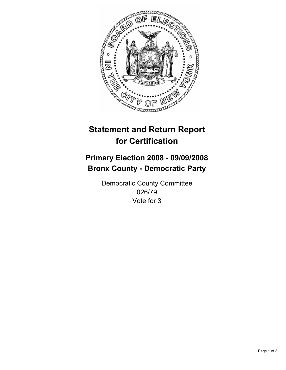

## **Primary Election 2008 - 09/09/2008 Bronx County - Democratic Party**

Democratic County Committee 026/79 Vote for 3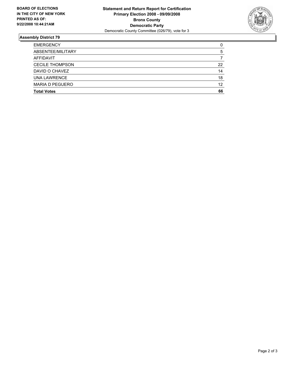

| <b>EMERGENCY</b>       |    |
|------------------------|----|
| ABSENTEE/MILITARY      |    |
| AFFIDAVIT              |    |
| <b>CECILE THOMPSON</b> | 22 |
| DAVID O CHAVEZ         | 14 |
| <b>UNA LAWRENCE</b>    | 18 |
| <b>MARIA D PEGUERO</b> | 12 |
| <b>Total Votes</b>     | 66 |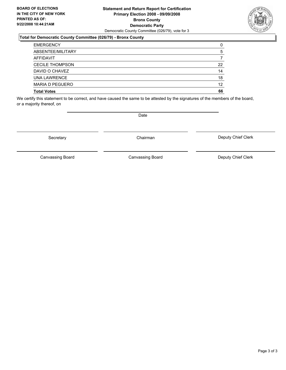### **Statement and Return Report for Certification Primary Election 2008 - 09/09/2008 Bronx County Democratic Party** Democratic County Committee (026/79), vote for 3

### **Total for Democratic County Committee (026/79) - Bronx County**

| <b>EMERGENCY</b>       |    |
|------------------------|----|
| ABSENTEE/MILITARY      |    |
| AFFIDAVIT              |    |
| <b>CECILE THOMPSON</b> | 22 |
| DAVID O CHAVEZ         | 14 |
| UNA LAWRENCE           | 18 |
| <b>MARIA D PEGUERO</b> | 12 |
| <b>Total Votes</b>     | 66 |

We certify this statement to be correct, and have caused the same to be attested by the signatures of the members of the board, or a majority thereof, on

Secretary **Chairman** 

Deputy Chief Clerk

Canvassing Board

Canvassing Board Canvassing Board Canvassing Canvassing Board Deputy Chief Clerk



Date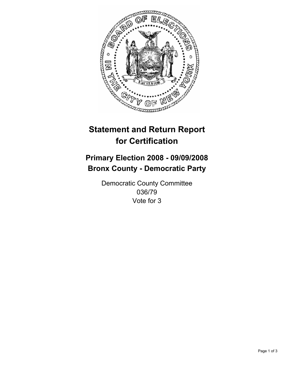

## **Primary Election 2008 - 09/09/2008 Bronx County - Democratic Party**

Democratic County Committee 036/79 Vote for 3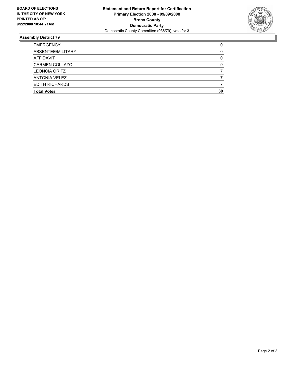

| <b>EMERGENCY</b>      |    |
|-----------------------|----|
| ABSENTEE/MILITARY     |    |
| AFFIDAVIT             |    |
| <b>CARMEN COLLAZO</b> |    |
| <b>LEONCIA ORITZ</b>  |    |
| <b>ANTONIA VELEZ</b>  |    |
| <b>EDITH RICHARDS</b> |    |
| <b>Total Votes</b>    | 30 |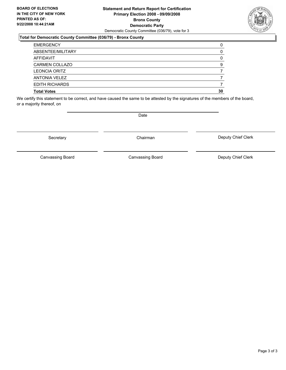### **Statement and Return Report for Certification Primary Election 2008 - 09/09/2008 Bronx County Democratic Party** Democratic County Committee (036/79), vote for 3

### **Total for Democratic County Committee (036/79) - Bronx County**

| <b>EMERGENCY</b>      |    |
|-----------------------|----|
| ABSENTEE/MILITARY     |    |
| AFFIDAVIT             |    |
| <b>CARMEN COLLAZO</b> |    |
| <b>LEONCIA ORITZ</b>  |    |
| <b>ANTONIA VELEZ</b>  |    |
| <b>EDITH RICHARDS</b> |    |
| <b>Total Votes</b>    | 30 |

We certify this statement to be correct, and have caused the same to be attested by the signatures of the members of the board, or a majority thereof, on

Date

Secretary **Chairman** 

Canvassing Board Canvassing Board Canvassing Canvassing Board Deputy Chief Clerk

Deputy Chief Clerk

Canvassing Board

Page 3 of 3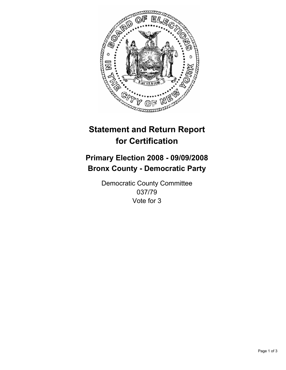

## **Primary Election 2008 - 09/09/2008 Bronx County - Democratic Party**

Democratic County Committee 037/79 Vote for 3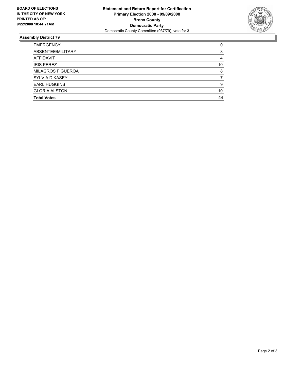

| <b>EMERGENCY</b>         |    |
|--------------------------|----|
| ABSENTEE/MILITARY        |    |
| AFFIDAVIT                |    |
| <b>IRIS PEREZ</b>        | 10 |
| <b>MILAGROS FIGUEROA</b> |    |
| SYLVIA D KASEY           |    |
| <b>EARL HUGGINS</b>      | c  |
| <b>GLORIA ALSTON</b>     | 10 |
| <b>Total Votes</b>       | 44 |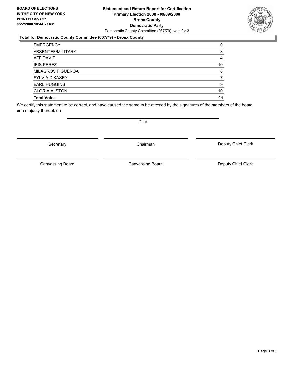### **Statement and Return Report for Certification Primary Election 2008 - 09/09/2008 Bronx County Democratic Party** Democratic County Committee (037/79), vote for 3

### **Total for Democratic County Committee (037/79) - Bronx County**

| <b>EMERGENCY</b>         |    |
|--------------------------|----|
| ABSENTEE/MILITARY        |    |
| AFFIDAVIT                |    |
| <b>IRIS PEREZ</b>        | 10 |
| <b>MILAGROS FIGUEROA</b> |    |
| SYLVIA D KASEY           |    |
| <b>EARL HUGGINS</b>      |    |
| <b>GLORIA ALSTON</b>     | 10 |
| <b>Total Votes</b>       | 44 |

We certify this statement to be correct, and have caused the same to be attested by the signatures of the members of the board, or a majority thereof, on

Secretary **Chairman** 

Canvassing Board

Date

Canvassing Board **Canvassing Board** Canvassing Board **Deputy Chief Clerk** 

Deputy Chief Clerk

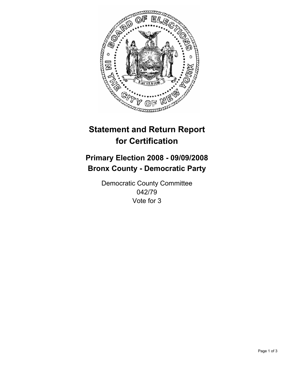

## **Primary Election 2008 - 09/09/2008 Bronx County - Democratic Party**

Democratic County Committee 042/79 Vote for 3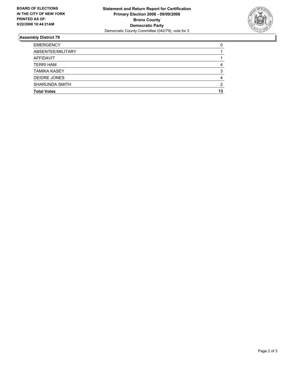

| <b>EMERGENCY</b>      |    |
|-----------------------|----|
| ABSENTEE/MILITARY     |    |
| AFFIDAVIT             |    |
| <b>TERRI HAM</b>      |    |
| <b>TAMIKA KASEY</b>   |    |
| <b>DEIDRE JONES</b>   |    |
| <b>SHARUNDA SMITH</b> |    |
| <b>Total Votes</b>    | 13 |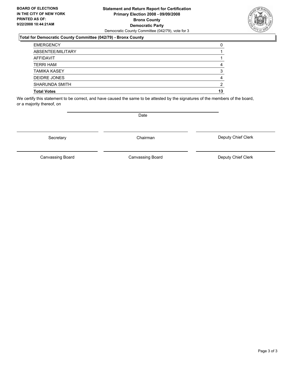### **Statement and Return Report for Certification Primary Election 2008 - 09/09/2008 Bronx County Democratic Party** Democratic County Committee (042/79), vote for 3

### **Total for Democratic County Committee (042/79) - Bronx County**

| <b>EMERGENCY</b>      |    |
|-----------------------|----|
| ABSENTEE/MILITARY     |    |
| AFFIDAVIT             |    |
| <b>TERRI HAM</b>      |    |
| <b>TAMIKA KASEY</b>   |    |
| DEIDRE JONES          |    |
| <b>SHARUNDA SMITH</b> | ◠  |
| <b>Total Votes</b>    | 13 |

We certify this statement to be correct, and have caused the same to be attested by the signatures of the members of the board, or a majority thereof, on

Secretary **Chairman** 

Deputy Chief Clerk

Canvassing Board

Canvassing Board **Canvassing Board** Canvassing Board **Deputy Chief Clerk** 



Date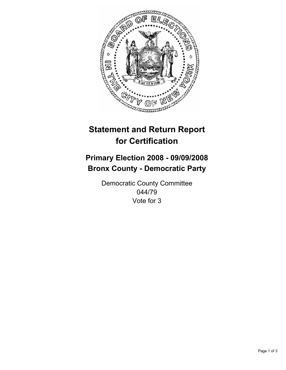

## **Primary Election 2008 - 09/09/2008 Bronx County - Democratic Party**

Democratic County Committee 044/79 Vote for 3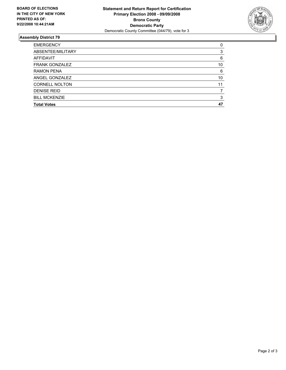

| <b>EMERGENCY</b>      |    |
|-----------------------|----|
| ABSENTEE/MILITARY     |    |
| AFFIDAVIT             | 6  |
| <b>FRANK GONZALEZ</b> | 10 |
| <b>RAMON PENA</b>     | 6  |
| ANGEL GONZALEZ        | 10 |
| <b>CORNELL NOLTON</b> |    |
| <b>DENISE REID</b>    |    |
| <b>BILL MCKENZIE</b>  | ◠  |
| <b>Total Votes</b>    |    |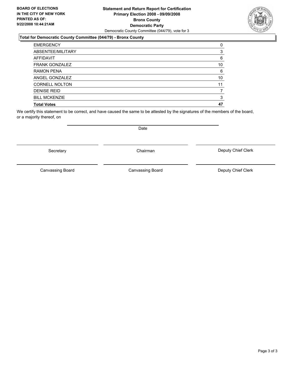### **Statement and Return Report for Certification Primary Election 2008 - 09/09/2008 Bronx County Democratic Party** Democratic County Committee (044/79), vote for 3

### **Total for Democratic County Committee (044/79) - Bronx County**

| <b>EMERGENCY</b>      |    |
|-----------------------|----|
| ABSENTEE/MILITARY     |    |
| <b>AFFIDAVIT</b>      | 6  |
| <b>FRANK GONZALEZ</b> | 10 |
| <b>RAMON PENA</b>     | 6  |
| ANGEL GONZALEZ        | 10 |
| <b>CORNELL NOLTON</b> | 11 |
| <b>DENISE REID</b>    |    |
| <b>BILL MCKENZIE</b>  |    |
| <b>Total Votes</b>    | 47 |

We certify this statement to be correct, and have caused the same to be attested by the signatures of the members of the board, or a majority thereof, on

Secretary **Chairman** 

Canvassing Board **Canvassing Board** Canvassing Board **Deputy Chief Clerk** 

Canvassing Board

Deputy Chief Clerk

Date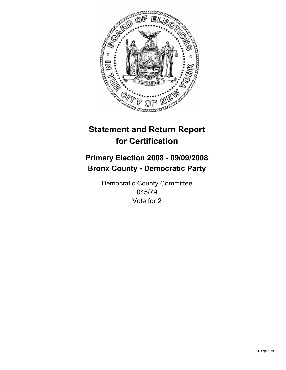

## **Primary Election 2008 - 09/09/2008 Bronx County - Democratic Party**

Democratic County Committee 045/79 Vote for 2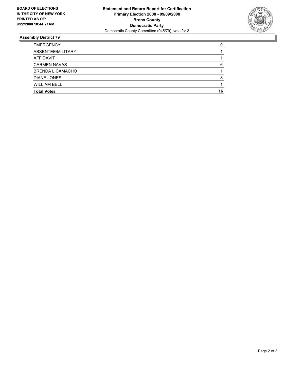

| <b>EMERGENCY</b>        |    |
|-------------------------|----|
| ABSENTEE/MILITARY       |    |
| AFFIDAVIT               |    |
| <b>CARMEN NAVAS</b>     |    |
| <b>BRENDA L CAMACHO</b> |    |
| <b>DIANE JONES</b>      |    |
| <b>WILLIAM BELL</b>     |    |
| <b>Total Votes</b>      | 16 |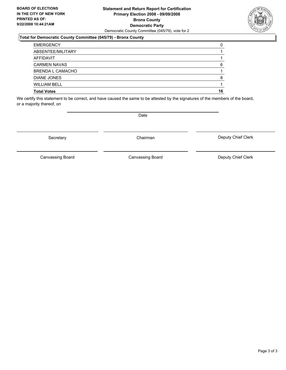### **Statement and Return Report for Certification Primary Election 2008 - 09/09/2008 Bronx County Democratic Party** Democratic County Committee (045/79), vote for 2

### **Total for Democratic County Committee (045/79) - Bronx County**

| <b>EMERGENCY</b>        |    |
|-------------------------|----|
| ABSENTEE/MILITARY       |    |
| AFFIDAVIT               |    |
| <b>CARMEN NAVAS</b>     |    |
| <b>BRENDA L CAMACHO</b> |    |
| DIANE JONES             |    |
| <b>WILLIAM BELL</b>     |    |
| <b>Total Votes</b>      | 16 |

We certify this statement to be correct, and have caused the same to be attested by the signatures of the members of the board, or a majority thereof, on

Secretary **Chairman** 

Deputy Chief Clerk

Canvassing Board

Canvassing Board **Canvassing Board** Canvassing Board **Deputy Chief Clerk** 



Date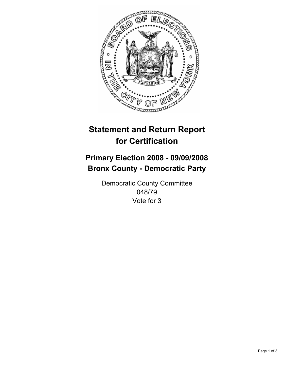

## **Primary Election 2008 - 09/09/2008 Bronx County - Democratic Party**

Democratic County Committee 048/79 Vote for 3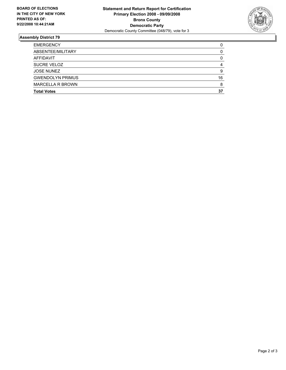

| <b>EMERGENCY</b>        |    |
|-------------------------|----|
| ABSENTEE/MILITARY       |    |
| AFFIDAVIT               |    |
| SUCRE VELOZ             |    |
| <b>JOSE NUNEZ</b>       |    |
| <b>GWENDOLYN PRIMUS</b> | 16 |
| <b>MARCELLA R BROWN</b> |    |
| <b>Total Votes</b>      | 37 |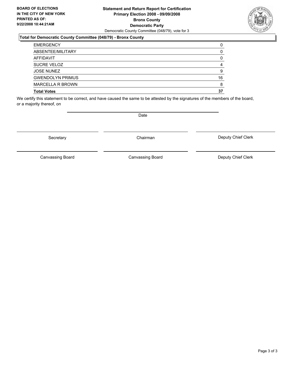### **Statement and Return Report for Certification Primary Election 2008 - 09/09/2008 Bronx County Democratic Party** Democratic County Committee (048/79), vote for 3

### **Total for Democratic County Committee (048/79) - Bronx County**

| <b>EMERGENCY</b>        |    |
|-------------------------|----|
| ABSENTEE/MILITARY       |    |
| AFFIDAVIT               |    |
| <b>SUCRE VELOZ</b>      |    |
| <b>JOSE NUNEZ</b>       |    |
| <b>GWENDOLYN PRIMUS</b> | 16 |
| <b>MARCELLA R BROWN</b> |    |
| <b>Total Votes</b>      | 37 |

We certify this statement to be correct, and have caused the same to be attested by the signatures of the members of the board, or a majority thereof, on

Date

Secretary **Chairman** 

Canvassing Board

Deputy Chief Clerk

Canvassing Board **Canvassing Board** Canvassing Board **Deputy Chief Clerk** 

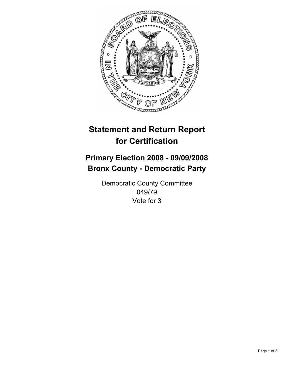

## **Primary Election 2008 - 09/09/2008 Bronx County - Democratic Party**

Democratic County Committee 049/79 Vote for 3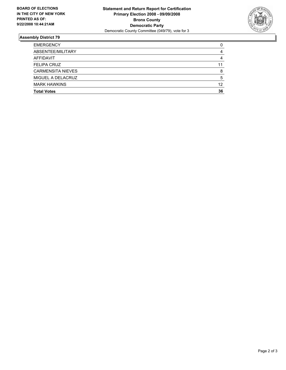

| <b>EMERGENCY</b>         |    |
|--------------------------|----|
| ABSENTEE/MILITARY        |    |
| AFFIDAVIT                |    |
| <b>FELIPA CRUZ</b>       |    |
| <b>CARMENSITA NIEVES</b> |    |
| MIGUEL A DELACRUZ        |    |
| <b>MARK HAWKINS</b>      | 12 |
| <b>Total Votes</b>       | 36 |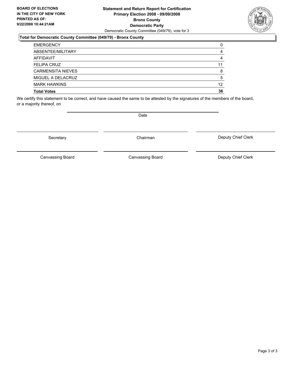### **Statement and Return Report for Certification Primary Election 2008 - 09/09/2008 Bronx County Democratic Party** Democratic County Committee (049/79), vote for 3

### **Total for Democratic County Committee (049/79) - Bronx County**

| <b>EMERGENCY</b>         |    |
|--------------------------|----|
| ABSENTEE/MILITARY        |    |
| AFFIDAVIT                |    |
| <b>FELIPA CRUZ</b>       | 11 |
| <b>CARMENSITA NIEVES</b> |    |
| MIGUEL A DELACRUZ        |    |
| <b>MARK HAWKINS</b>      | 12 |
| <b>Total Votes</b>       | 36 |

We certify this statement to be correct, and have caused the same to be attested by the signatures of the members of the board, or a majority thereof, on

Secretary **Chairman** 

Date

Canvassing Board **Canvassing Board** Canvassing Board **Deputy Chief Clerk** 

Deputy Chief Clerk

Canvassing Board

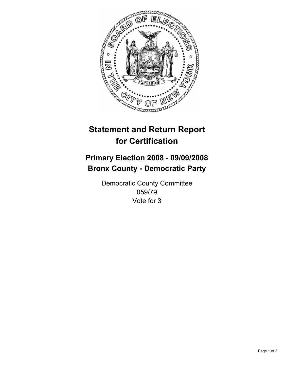

## **Primary Election 2008 - 09/09/2008 Bronx County - Democratic Party**

Democratic County Committee 059/79 Vote for 3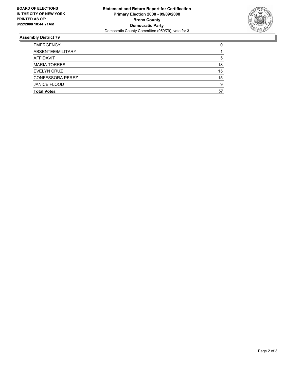

| <b>EMERGENCY</b>        |    |
|-------------------------|----|
| ABSENTEE/MILITARY       |    |
| AFFIDAVIT               |    |
| <b>MARIA TORRES</b>     | 18 |
| EVELYN CRUZ             | 15 |
| <b>CONFESSORA PEREZ</b> | 15 |
| <b>JANICE FLOOD</b>     | ö  |
| <b>Total Votes</b>      | 57 |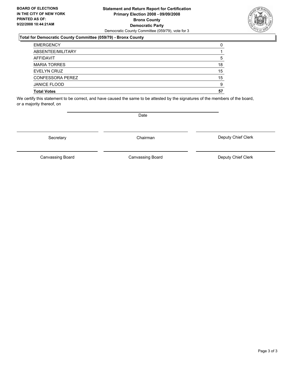### **Statement and Return Report for Certification Primary Election 2008 - 09/09/2008 Bronx County Democratic Party** Democratic County Committee (059/79), vote for 3

### **Total for Democratic County Committee (059/79) - Bronx County**

| <b>EMERGENCY</b>        |    |
|-------------------------|----|
| ABSENTEE/MILITARY       |    |
| AFFIDAVIT               | 5  |
| <b>MARIA TORRES</b>     | 18 |
| EVELYN CRUZ             | 15 |
| <b>CONFESSORA PEREZ</b> | 15 |
| <b>JANICE FLOOD</b>     | 9  |
| <b>Total Votes</b>      | 57 |

We certify this statement to be correct, and have caused the same to be attested by the signatures of the members of the board, or a majority thereof, on

Secretary **Chairman** 

Deputy Chief Clerk

Canvassing Board

Canvassing Board **Canvassing Board** Canvassing Board **Deputy Chief Clerk** 



Date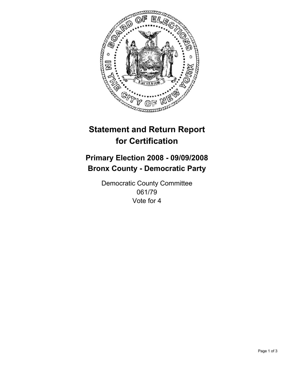

## **Primary Election 2008 - 09/09/2008 Bronx County - Democratic Party**

Democratic County Committee 061/79 Vote for 4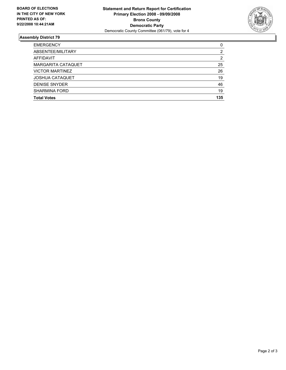

| <b>EMERGENCY</b>          |     |
|---------------------------|-----|
| ABSENTEE/MILITARY         |     |
| AFFIDAVIT                 |     |
| <b>MARGARITA CATAQUET</b> | 25  |
| <b>VICTOR MARTINEZ</b>    | 26  |
| <b>JOSHUA CATAQUET</b>    | 19  |
| <b>DENISE SNYDER</b>      | 46  |
| <b>SHARMINA FORD</b>      | 19  |
| <b>Total Votes</b>        | 135 |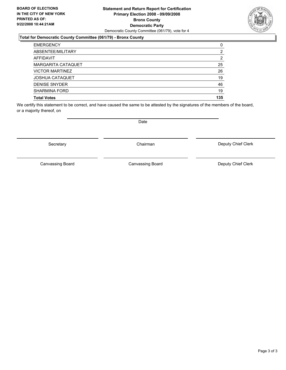### **Statement and Return Report for Certification Primary Election 2008 - 09/09/2008 Bronx County Democratic Party** Democratic County Committee (061/79), vote for 4

### **Total for Democratic County Committee (061/79) - Bronx County**

| <b>EMERGENCY</b>       |     |
|------------------------|-----|
| ABSENTEE/MILITARY      | ົ   |
| AFFIDAVIT              |     |
| MARGARITA CATAQUET     | 25  |
| <b>VICTOR MARTINEZ</b> | 26  |
| <b>JOSHUA CATAQUET</b> | 19  |
| <b>DENISE SNYDER</b>   | 46  |
| <b>SHARMINA FORD</b>   | 19  |
| <b>Total Votes</b>     | 135 |

We certify this statement to be correct, and have caused the same to be attested by the signatures of the members of the board, or a majority thereof, on

Secretary **Chairman** 

Canvassing Board

Date

Canvassing Board **Canvassing Board** Canvassing Board **Deputy Chief Clerk** 

Deputy Chief Clerk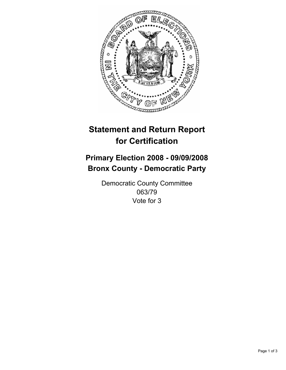

## **Primary Election 2008 - 09/09/2008 Bronx County - Democratic Party**

Democratic County Committee 063/79 Vote for 3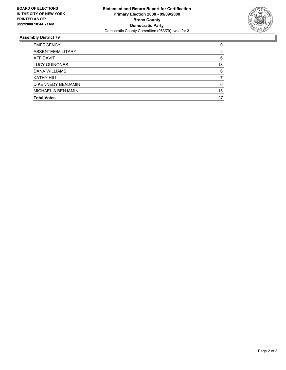

| <b>EMERGENCY</b>     |    |
|----------------------|----|
| ABSENTEE/MILITARY    |    |
| AFFIDAVIT            | 6  |
| <b>LUCY QUINONES</b> | 13 |
| DANA WILLIAMS        | 6  |
| <b>KATHY HILL</b>    |    |
| D KENNEDY BENJAMIN   |    |
| MICHAEL A BENJAMIN   | 15 |
| <b>Total Votes</b>   | 47 |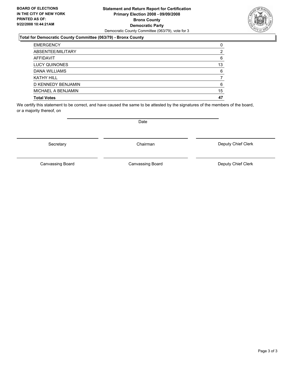### **Statement and Return Report for Certification Primary Election 2008 - 09/09/2008 Bronx County Democratic Party** Democratic County Committee (063/79), vote for 3

### **Total for Democratic County Committee (063/79) - Bronx County**

| <b>EMERGENCY</b>     |    |
|----------------------|----|
| ABSENTEE/MILITARY    |    |
| <b>AFFIDAVIT</b>     | 6  |
| <b>LUCY QUINONES</b> | 13 |
| DANA WILLIAMS        | 6  |
| <b>KATHY HILL</b>    |    |
| D KENNEDY BENJAMIN   | 6  |
| MICHAEL A BENJAMIN   | 15 |
| <b>Total Votes</b>   | 47 |

We certify this statement to be correct, and have caused the same to be attested by the signatures of the members of the board, or a majority thereof, on

Secretary **Chairman** 

Canvassing Board

Canvassing Board **Canvassing Board** Canvassing Board **Deputy Chief Clerk** 

Deputy Chief Clerk

Date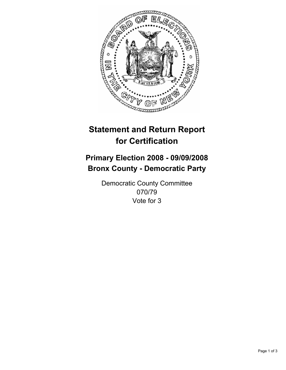

## **Primary Election 2008 - 09/09/2008 Bronx County - Democratic Party**

Democratic County Committee 070/79 Vote for 3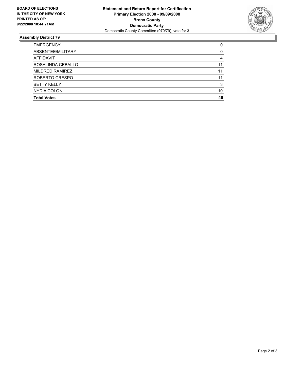

| <b>EMERGENCY</b>   |    |
|--------------------|----|
| ABSENTEE/MILITARY  |    |
| AFFIDAVIT          |    |
| ROSALINDA CEBALLO  |    |
| MILDRED RAMIREZ    | 11 |
| ROBERTO CRESPO     |    |
| <b>BETTY KELLY</b> |    |
| NYDIA COLON        | 10 |
| <b>Total Votes</b> | 46 |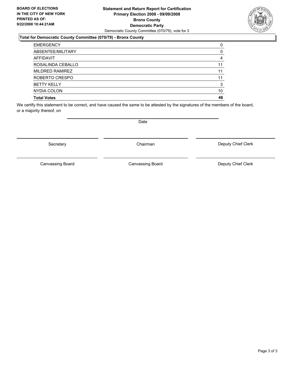### **Statement and Return Report for Certification Primary Election 2008 - 09/09/2008 Bronx County Democratic Party** Democratic County Committee (070/79), vote for 3

### **Total for Democratic County Committee (070/79) - Bronx County**

| <b>EMERGENCY</b>   |    |
|--------------------|----|
| ABSENTEE/MILITARY  |    |
| <b>AFFIDAVIT</b>   |    |
| ROSALINDA CEBALLO  | 11 |
| MILDRED RAMIREZ    | 11 |
| ROBERTO CRESPO     | 11 |
| <b>BETTY KELLY</b> |    |
| NYDIA COLON        | 10 |
| <b>Total Votes</b> | 46 |

We certify this statement to be correct, and have caused the same to be attested by the signatures of the members of the board, or a majority thereof, on

Canvassing Board

Canvassing Board **Canvassing Board** Canvassing Board **Deputy Chief Clerk** 

Deputy Chief Clerk

### Secretary **Chairman**

Date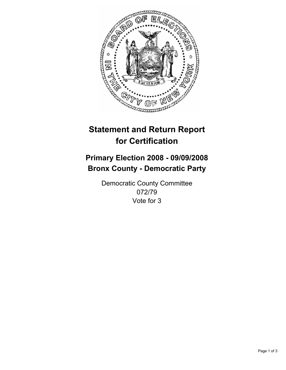

## **Primary Election 2008 - 09/09/2008 Bronx County - Democratic Party**

Democratic County Committee 072/79 Vote for 3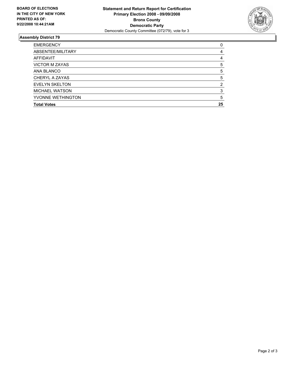

| <b>EMERGENCY</b>      |    |
|-----------------------|----|
| ABSENTEE/MILITARY     |    |
| <b>AFFIDAVIT</b>      |    |
| <b>VICTOR M ZAYAS</b> | 5  |
| ANA BLANCO            |    |
| CHERYL A ZAYAS        |    |
| <b>EVELYN SKELTON</b> |    |
| <b>MICHAEL WATSON</b> |    |
| YVONNE WETHINGTON     |    |
| <b>Total Votes</b>    | 25 |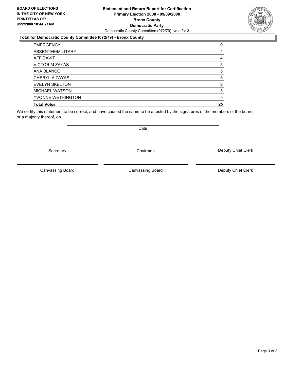### **Statement and Return Report for Certification Primary Election 2008 - 09/09/2008 Bronx County Democratic Party** Democratic County Committee (072/79), vote for 3

### **Total for Democratic County Committee (072/79) - Bronx County**

| <b>EMERGENCY</b>      |    |
|-----------------------|----|
| ABSENTEE/MILITARY     |    |
| <b>AFFIDAVIT</b>      |    |
| <b>VICTOR M ZAYAS</b> |    |
| ANA BLANCO            |    |
| CHERYL A ZAYAS        |    |
| <b>EVELYN SKELTON</b> |    |
| <b>MICHAEL WATSON</b> |    |
| YVONNE WETHINGTON     |    |
| <b>Total Votes</b>    | 25 |

We certify this statement to be correct, and have caused the same to be attested by the signatures of the members of the board, or a majority thereof, on

Secretary **Chairman** 

Canvassing Board **Canvassing Board** Canvassing Board **Deputy Chief Clerk** 

Canvassing Board



Date

Deputy Chief Clerk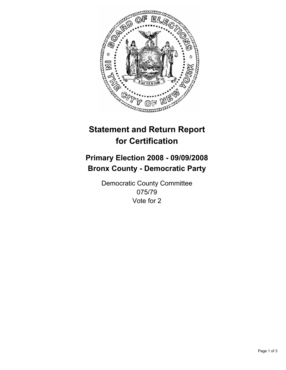

## **Primary Election 2008 - 09/09/2008 Bronx County - Democratic Party**

Democratic County Committee 075/79 Vote for 2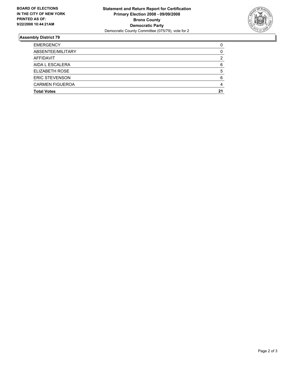

| <b>EMERGENCY</b>       |    |
|------------------------|----|
| ABSENTEE/MILITARY      |    |
| AFFIDAVIT              |    |
| AIDA L ESCALERA        |    |
| ELIZABETH ROSE         |    |
| <b>ERIC STEVENSON</b>  |    |
| <b>CARMEN FIGUEROA</b> |    |
| <b>Total Votes</b>     | 21 |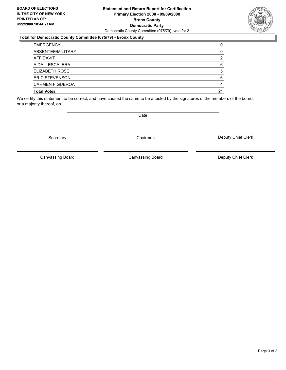### **Statement and Return Report for Certification Primary Election 2008 - 09/09/2008 Bronx County Democratic Party** Democratic County Committee (075/79), vote for 2

### **Total for Democratic County Committee (075/79) - Bronx County**

| <b>EMERGENCY</b>       |    |
|------------------------|----|
| ABSENTEE/MILITARY      |    |
| AFFIDAVIT              |    |
| AIDA L ESCALERA        |    |
| ELIZABETH ROSE         |    |
| <b>ERIC STEVENSON</b>  |    |
| <b>CARMEN FIGUEROA</b> |    |
| <b>Total Votes</b>     | 21 |

We certify this statement to be correct, and have caused the same to be attested by the signatures of the members of the board, or a majority thereof, on

Secretary **Chairman** 

Deputy Chief Clerk

Canvassing Board Canvassing Board Canvassing Board Canvassing Canvassing Board Deputy Chief Clerk

Date

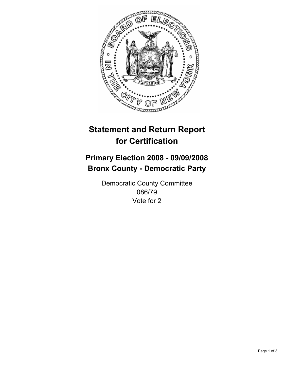

## **Primary Election 2008 - 09/09/2008 Bronx County - Democratic Party**

Democratic County Committee 086/79 Vote for 2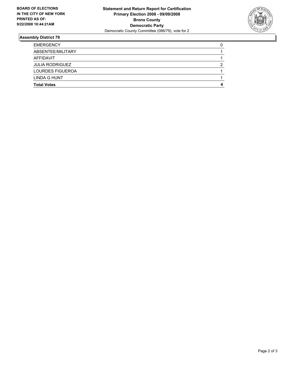

| <b>EMERGENCY</b>        |  |
|-------------------------|--|
| ABSENTEE/MILITARY       |  |
| AFFIDAVIT               |  |
| <b>JULIA RODRIGUEZ</b>  |  |
| <b>LOURDES FIGUEROA</b> |  |
| LINDA G HUNT            |  |
| <b>Total Votes</b>      |  |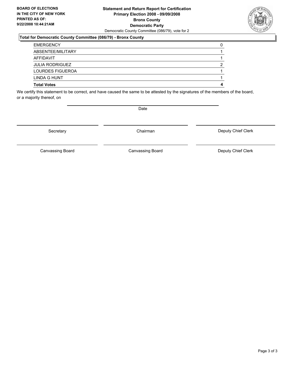### **Statement and Return Report for Certification Primary Election 2008 - 09/09/2008 Bronx County Democratic Party** Democratic County Committee (086/79), vote for 2

### **Total for Democratic County Committee (086/79) - Bronx County**

| <b>EMERGENCY</b>        |  |
|-------------------------|--|
| ABSENTEE/MILITARY       |  |
| AFFIDAVIT               |  |
| <b>JULIA RODRIGUEZ</b>  |  |
| <b>LOURDES FIGUEROA</b> |  |
| LINDA G HUNT            |  |
| <b>Total Votes</b>      |  |

We certify this statement to be correct, and have caused the same to be attested by the signatures of the members of the board, or a majority thereof, on

Secretary **Chairman** 

Date

Deputy Chief Clerk

Canvassing Board **Canvassing Board** Canvassing Board **Deputy Chief Clerk** 

Canvassing Board

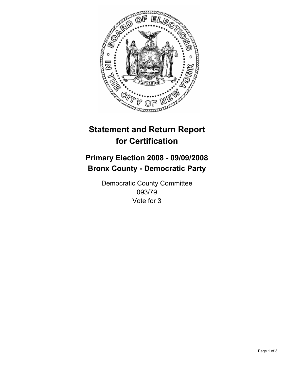

## **Primary Election 2008 - 09/09/2008 Bronx County - Democratic Party**

Democratic County Committee 093/79 Vote for 3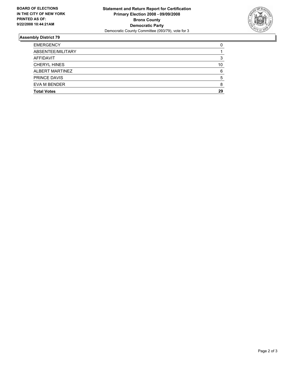

| <b>EMERGENCY</b>    |    |
|---------------------|----|
| ABSENTEE/MILITARY   |    |
| AFFIDAVIT           |    |
| <b>CHERYL HINES</b> | 10 |
| ALBERT MARTINEZ     |    |
| <b>PRINCE DAVIS</b> |    |
| EVA M BENDER        |    |
| <b>Total Votes</b>  | 29 |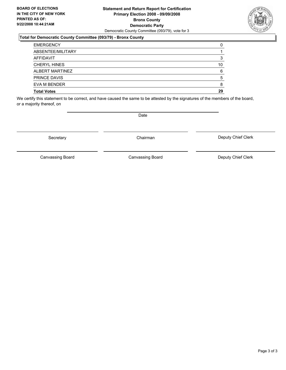### **Statement and Return Report for Certification Primary Election 2008 - 09/09/2008 Bronx County Democratic Party** Democratic County Committee (093/79), vote for 3

### **Total for Democratic County Committee (093/79) - Bronx County**

| <b>EMERGENCY</b>    |    |
|---------------------|----|
| ABSENTEE/MILITARY   |    |
| AFFIDAVIT           |    |
| <b>CHERYL HINES</b> | 10 |
| ALBERT MARTINEZ     |    |
| <b>PRINCE DAVIS</b> |    |
| EVA M BENDER        |    |
| <b>Total Votes</b>  | 29 |

We certify this statement to be correct, and have caused the same to be attested by the signatures of the members of the board, or a majority thereof, on

Secretary **Chairman** 

Canvassing Board **Canvassing Board** Canvassing Board **Deputy Chief Clerk** 

Deputy Chief Clerk

Canvassing Board



Date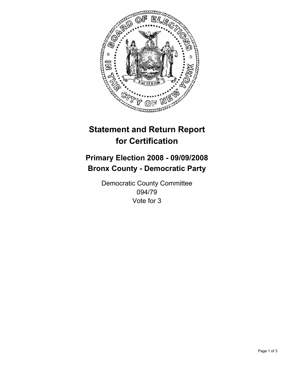

## **Primary Election 2008 - 09/09/2008 Bronx County - Democratic Party**

Democratic County Committee 094/79 Vote for 3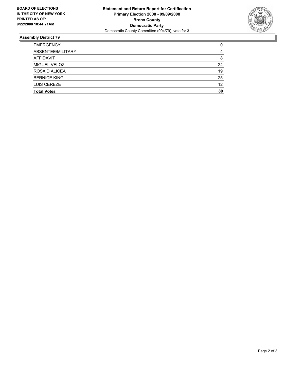

| <b>EMERGENCY</b>    |    |
|---------------------|----|
| ABSENTEE/MILITARY   |    |
| <b>AFFIDAVIT</b>    | 8  |
| MIGUEL VELOZ        | 24 |
| ROSA D ALICEA       | 19 |
| <b>BERNICE KING</b> | 25 |
| LUIS CEREZE         | 12 |
| <b>Total Votes</b>  | 80 |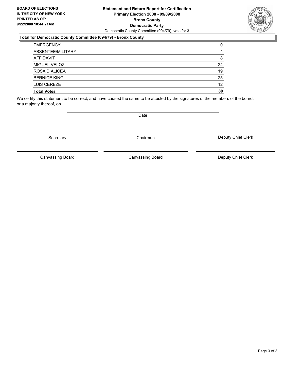### **Statement and Return Report for Certification Primary Election 2008 - 09/09/2008 Bronx County Democratic Party** Democratic County Committee (094/79), vote for 3

### **Total for Democratic County Committee (094/79) - Bronx County**

| <b>EMERGENCY</b>    |    |
|---------------------|----|
| ABSENTEE/MILITARY   |    |
| AFFIDAVIT           | 8  |
| MIGUEL VELOZ        | 24 |
| ROSA D ALICEA       | 19 |
| <b>BERNICE KING</b> | 25 |
| LUIS CEREZE         | 12 |
| <b>Total Votes</b>  | 80 |

We certify this statement to be correct, and have caused the same to be attested by the signatures of the members of the board, or a majority thereof, on

Secretary **Chairman** 

Deputy Chief Clerk

Canvassing Board

Canvassing Board **Canvassing Board** Canvassing Board **Deputy Chief Clerk** 



Date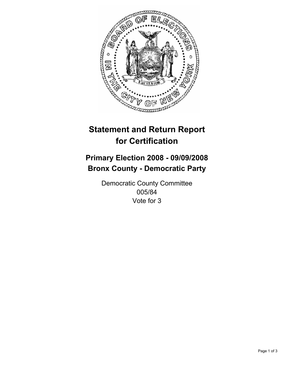

## **Primary Election 2008 - 09/09/2008 Bronx County - Democratic Party**

Democratic County Committee 005/84 Vote for 3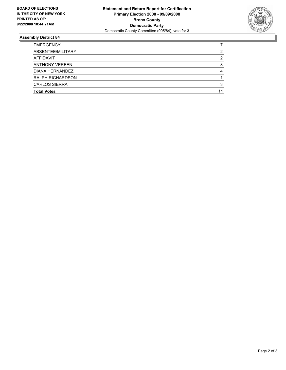

| <b>EMERGENCY</b>        |   |
|-------------------------|---|
| ABSENTEE/MILITARY       |   |
| AFFIDAVIT               | ◠ |
| <b>ANTHONY VEREEN</b>   |   |
| DIANA HERNANDEZ         |   |
| <b>RALPH RICHARDSON</b> |   |
| <b>CARLOS SIERRA</b>    |   |
| <b>Total Votes</b>      |   |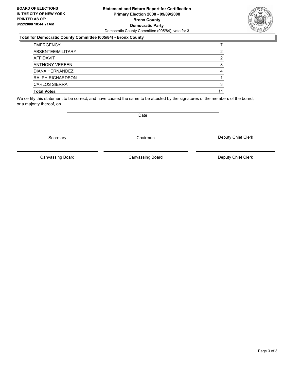### **Statement and Return Report for Certification Primary Election 2008 - 09/09/2008 Bronx County Democratic Party** Democratic County Committee (005/84), vote for 3

### **Total for Democratic County Committee (005/84) - Bronx County**

| <b>EMERGENCY</b>        |   |
|-------------------------|---|
| ABSENTEE/MILITARY       |   |
| AFFIDAVIT               | 2 |
| <b>ANTHONY VEREEN</b>   |   |
| DIANA HERNANDEZ         |   |
| <b>RALPH RICHARDSON</b> |   |
| <b>CARLOS SIERRA</b>    |   |
| <b>Total Votes</b>      |   |

We certify this statement to be correct, and have caused the same to be attested by the signatures of the members of the board, or a majority thereof, on

Secretary **Chairman** 

Deputy Chief Clerk

Canvassing Board Canvassing Board Canvassing Board Canvassing Canvassing Board Deputy Chief Clerk



Date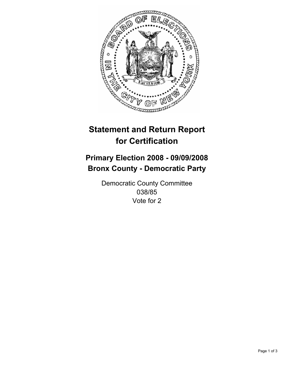

## **Primary Election 2008 - 09/09/2008 Bronx County - Democratic Party**

Democratic County Committee 038/85 Vote for 2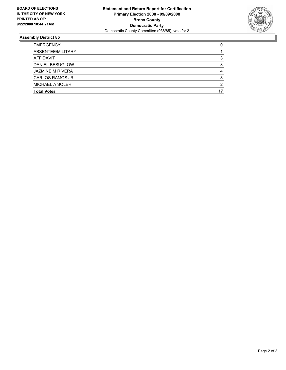

| <b>EMERGENCY</b>        |  |
|-------------------------|--|
| ABSENTEE/MILITARY       |  |
| AFFIDAVIT               |  |
| DANIEL BESUGLOW         |  |
| <b>JAZMINE M RIVERA</b> |  |
| CARLOS RAMOS JR.        |  |
| MICHAEL A SOLER         |  |
| <b>Total Votes</b>      |  |